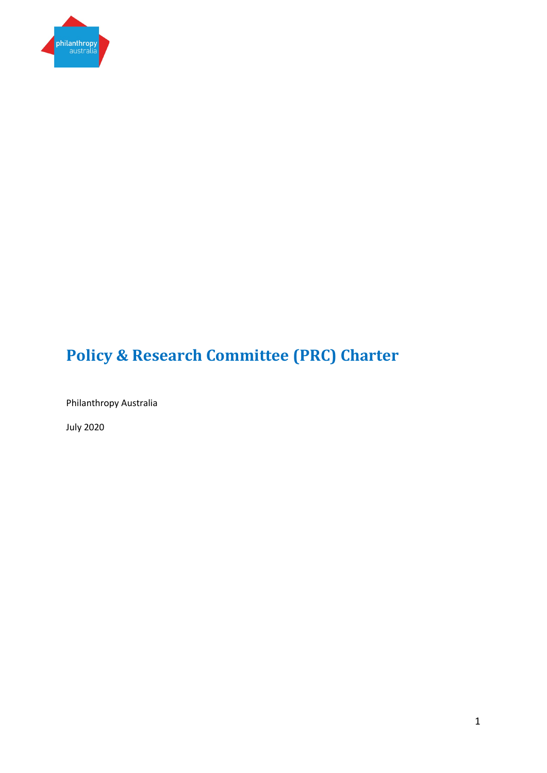

# **Policy & Research Committee (PRC) Charter**

Philanthropy Australia

July 2020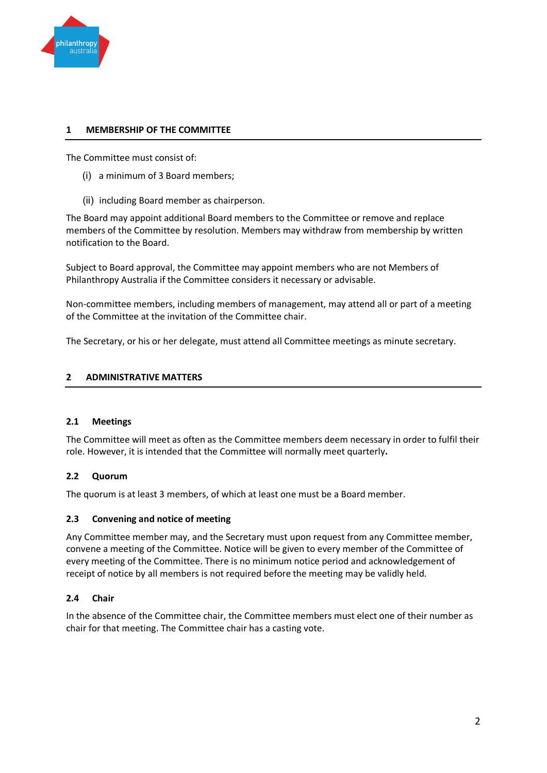

# **1 MEMBERSHIP OF THE COMMITTEE**

The Committee must consist of:

- (i) a minimum of 3 Board members;
- (ii) including Board member as chairperson.

The Board may appoint additional Board members to the Committee or remove and replace members of the Committee by resolution. Members may withdraw from membership by written notification to the Board.

Subject to Board approval, the Committee may appoint members who are not Members of Philanthropy Australia if the Committee considers it necessary or advisable.

Non-committee members, including members of management, may attend all or part of a meeting of the Committee at the invitation of the Committee chair.

The Secretary, or his or her delegate, must attend all Committee meetings as minute secretary.

#### **2 ADMINISTRATIVE MATTERS**

## **2.1 Meetings**

The Committee will meet as often as the Committee members deem necessary in order to fulfil their role. However, it is intended that the Committee will normally meet quarterly**.**

## **2.2 Quorum**

The quorum is at least 3 members, of which at least one must be a Board member.

#### **2.3 Convening and notice of meeting**

Any Committee member may, and the Secretary must upon request from any Committee member, convene a meeting of the Committee. Notice will be given to every member of the Committee of every meeting of the Committee. There is no minimum notice period and acknowledgement of receipt of notice by all members is not required before the meeting may be validly held.

## **2.4 Chair**

In the absence of the Committee chair, the Committee members must elect one of their number as chair for that meeting. The Committee chair has a casting vote.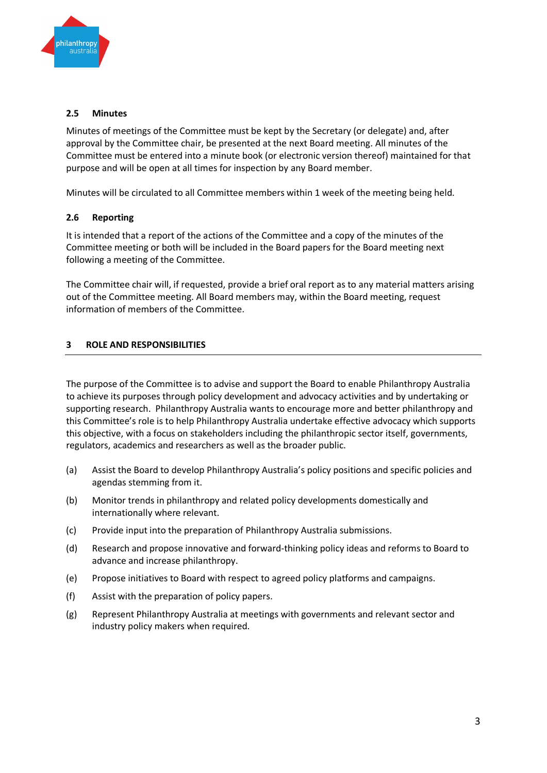

#### **2.5 Minutes**

Minutes of meetings of the Committee must be kept by the Secretary (or delegate) and, after approval by the Committee chair, be presented at the next Board meeting. All minutes of the Committee must be entered into a minute book (or electronic version thereof) maintained for that purpose and will be open at all times for inspection by any Board member.

Minutes will be circulated to all Committee members within 1 week of the meeting being held.

## **2.6 Reporting**

It is intended that a report of the actions of the Committee and a copy of the minutes of the Committee meeting or both will be included in the Board papers for the Board meeting next following a meeting of the Committee.

The Committee chair will, if requested, provide a brief oral report as to any material matters arising out of the Committee meeting. All Board members may, within the Board meeting, request information of members of the Committee.

#### **3 ROLE AND RESPONSIBILITIES**

The purpose of the Committee is to advise and support the Board to enable Philanthropy Australia to achieve its purposes through policy development and advocacy activities and by undertaking or supporting research. Philanthropy Australia wants to encourage more and better philanthropy and this Committee's role is to help Philanthropy Australia undertake effective advocacy which supports this objective, with a focus on stakeholders including the philanthropic sector itself, governments, regulators, academics and researchers as well as the broader public.

- (a) Assist the Board to develop Philanthropy Australia's policy positions and specific policies and agendas stemming from it.
- (b) Monitor trends in philanthropy and related policy developments domestically and internationally where relevant.
- (c) Provide input into the preparation of Philanthropy Australia submissions.
- (d) Research and propose innovative and forward-thinking policy ideas and reforms to Board to advance and increase philanthropy.
- (e) Propose initiatives to Board with respect to agreed policy platforms and campaigns.
- (f) Assist with the preparation of policy papers.
- (g) Represent Philanthropy Australia at meetings with governments and relevant sector and industry policy makers when required.